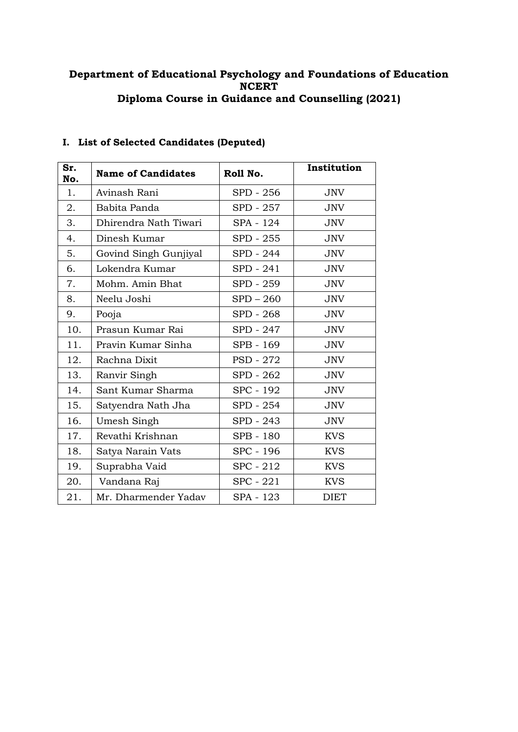### **Department of Educational Psychology and Foundations of Education NCERT Diploma Course in Guidance and Counselling (2021)**

| Sr.<br>No. | <b>Name of Candidates</b> | Roll No.    | Institution |
|------------|---------------------------|-------------|-------------|
| 1.         | Avinash Rani              | SPD - 256   | <b>JNV</b>  |
| 2.         | Babita Panda              | SPD - 257   | <b>JNV</b>  |
| 3.         | Dhirendra Nath Tiwari     | SPA - 124   | <b>JNV</b>  |
| 4.         | Dinesh Kumar              | SPD - 255   | <b>JNV</b>  |
| 5.         | Govind Singh Gunjiyal     | SPD - 244   | <b>JNV</b>  |
| 6.         | Lokendra Kumar            | SPD - 241   | <b>JNV</b>  |
| 7.         | Mohm. Amin Bhat           | SPD - 259   | JNV         |
| 8.         | Neelu Joshi               | $SPD - 260$ | <b>JNV</b>  |
| 9.         | Pooja                     | SPD - 268   | <b>JNV</b>  |
| 10.        | Prasun Kumar Rai          | SPD - 247   | <b>JNV</b>  |
| 11.        | Pravin Kumar Sinha        | SPB - 169   | <b>JNV</b>  |
| 12.        | Rachna Dixit              | PSD - 272   | <b>JNV</b>  |
| 13.        | Ranvir Singh              | SPD - 262   | <b>JNV</b>  |
| 14.        | Sant Kumar Sharma         | SPC - 192   | <b>JNV</b>  |
| 15.        | Satyendra Nath Jha        | SPD - 254   | <b>JNV</b>  |
| 16.        | Umesh Singh               | SPD - 243   | <b>JNV</b>  |
| 17.        | Revathi Krishnan          | SPB - 180   | <b>KVS</b>  |
| 18.        | Satya Narain Vats         | SPC - 196   | <b>KVS</b>  |
| 19.        | Suprabha Vaid             | SPC - 212   | <b>KVS</b>  |
| 20.        | Vandana Raj               | SPC - 221   | <b>KVS</b>  |
| 21.        | Mr. Dharmender Yadav      | SPA - 123   | <b>DIET</b> |

# **I. List of Selected Candidates (Deputed)**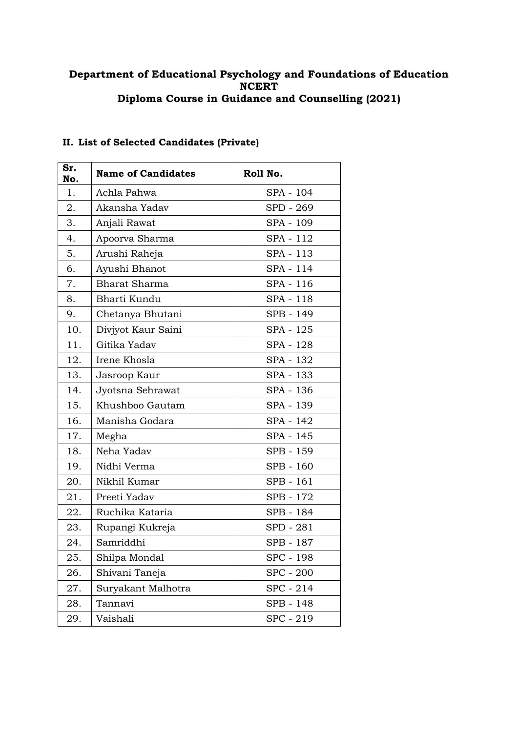### **Department of Educational Psychology and Foundations of Education NCERT Diploma Course in Guidance and Counselling (2021)**

| Sr.<br>No. | <b>Name of Candidates</b> | Roll No.  |
|------------|---------------------------|-----------|
| 1.         | Achla Pahwa               | SPA - 104 |
| 2.         | Akansha Yadav             | SPD - 269 |
| 3.         | Anjali Rawat              | SPA - 109 |
| 4.         | Apoorva Sharma            | SPA - 112 |
| 5.         | Arushi Raheja             | SPA - 113 |
| 6.         | Ayushi Bhanot             | SPA - 114 |
| 7.         | <b>Bharat Sharma</b>      | SPA - 116 |
| 8.         | Bharti Kundu              | SPA - 118 |
| 9.         | Chetanya Bhutani          | SPB - 149 |
| 10.        | Divjyot Kaur Saini        | SPA - 125 |
| 11.        | Gitika Yadav              | SPA - 128 |
| 12.        | Irene Khosla              | SPA - 132 |
| 13.        | Jasroop Kaur              | SPA - 133 |
| 14.        | Jyotsna Sehrawat          | SPA - 136 |
| 15.        | Khushboo Gautam           | SPA - 139 |
| 16.        | Manisha Godara            | SPA - 142 |
| 17.        | Megha                     | SPA - 145 |
| 18.        | Neha Yadav                | SPB - 159 |
| 19.        | Nidhi Verma               | SPB - 160 |
| 20.        | Nikhil Kumar              | SPB - 161 |
| 21.        | Preeti Yadav              | SPB - 172 |
| 22.        | Ruchika Kataria           | SPB - 184 |
| 23.        | Rupangi Kukreja           | SPD - 281 |
| 24.        | Samriddhi                 | SPB - 187 |
| 25.        | Shilpa Mondal             | SPC - 198 |
| 26.        | Shivani Taneja            | SPC - 200 |
| 27.        | Suryakant Malhotra        | SPC - 214 |
| 28.        | Tannavi                   | SPB - 148 |
| 29.        | Vaishali                  | SPC - 219 |

## **II. List of Selected Candidates (Private)**